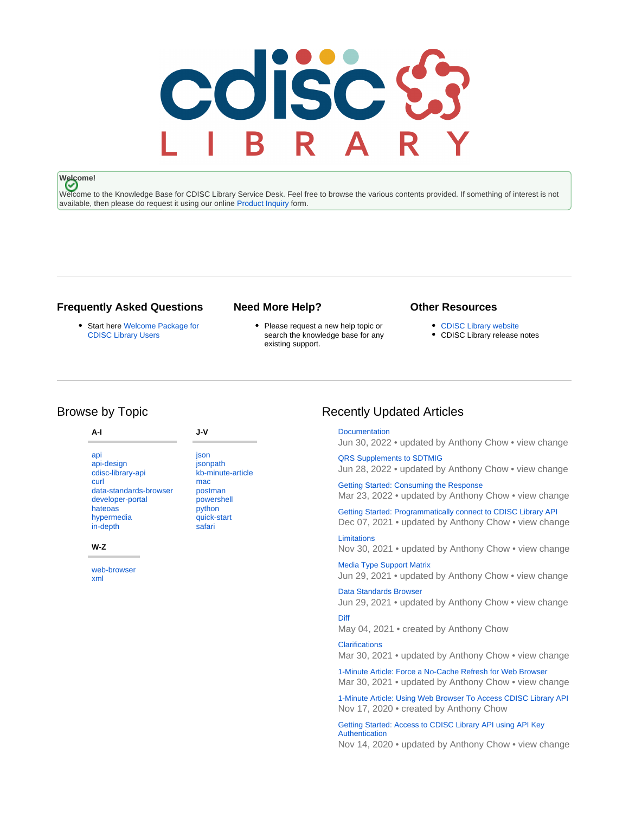# coisc &

# **Welcome!**

Welcome to the Knowledge Base for CDISC Library Service Desk. Feel free to browse the various contents provided. If something of interest is not available, then please do request it using our online [Product Inquiry](https://www.cdisc.org/cdisc-library/api-account-product-inquiry) form.

## **Frequently Asked Questions**

Start here [Welcome Package for](https://wiki.cdisc.org/display/LIBSUPRT/Welcome+Package+for+CDISC+Library+Users)  [CDISC Library Users](https://wiki.cdisc.org/display/LIBSUPRT/Welcome+Package+for+CDISC+Library+Users)

## **Need More Help?**

• Please request a new help topic or search the knowledge base for any existing support.

[Diff](https://wiki.cdisc.org/display/LIBSUPRT/Diff)

## **Other Resources**

- [CDISC Library website](https://www.cdisc.org/cdisc-library)
- CDISC Library release notes

# Browse by Topic

#### **A-I**

[api](https://wiki.cdisc.org/label/LIBSUPRT/api) [api-design](https://wiki.cdisc.org/label/LIBSUPRT/api-design) [cdisc-library-api](https://wiki.cdisc.org/label/LIBSUPRT/cdisc-library-api) [curl](https://wiki.cdisc.org/label/LIBSUPRT/curl) [data-standards-browser](https://wiki.cdisc.org/label/LIBSUPRT/data-standards-browser) [developer-portal](https://wiki.cdisc.org/label/LIBSUPRT/developer-portal) [hateoas](https://wiki.cdisc.org/label/LIBSUPRT/hateoas) [hypermedia](https://wiki.cdisc.org/label/LIBSUPRT/hypermedia) [in-depth](https://wiki.cdisc.org/label/LIBSUPRT/in-depth)

#### **W-Z**

[web-browser](https://wiki.cdisc.org/label/LIBSUPRT/web-browser) [xml](https://wiki.cdisc.org/label/LIBSUPRT/xml)

#### [json](https://wiki.cdisc.org/label/LIBSUPRT/json) [jsonpath](https://wiki.cdisc.org/label/LIBSUPRT/jsonpath) [kb-minute-article](https://wiki.cdisc.org/label/LIBSUPRT/kb-minute-article) [mac](https://wiki.cdisc.org/label/LIBSUPRT/mac) [postman](https://wiki.cdisc.org/label/LIBSUPRT/postman) **[powershell](https://wiki.cdisc.org/label/LIBSUPRT/powershell)** [python](https://wiki.cdisc.org/label/LIBSUPRT/python) [quick-start](https://wiki.cdisc.org/label/LIBSUPRT/quick-start) [safari](https://wiki.cdisc.org/label/LIBSUPRT/safari)

**J-V**

# Recently Updated Articles

**[Documentation](https://wiki.cdisc.org/display/LIBSUPRT/Documentation)** Jun 30, 2022 • updated by [Anthony Chow](https://wiki.cdisc.org/display/~achow) • [view change](https://wiki.cdisc.org/pages/diffpagesbyversion.action?pageId=73140629&selectedPageVersions=21&selectedPageVersions=20)

[QRS Supplements to SDTMIG](https://wiki.cdisc.org/display/LIBSUPRT/QRS+Supplements+to+SDTMIG) Jun 28, 2022 • updated by [Anthony Chow](https://wiki.cdisc.org/display/~achow) • [view change](https://wiki.cdisc.org/pages/diffpagesbyversion.action?pageId=124194916&selectedPageVersions=2&selectedPageVersions=1)

[Getting Started: Consuming the Response](https://wiki.cdisc.org/display/LIBSUPRT/Getting+Started%3A+Consuming+the+Response) Mar 23, 2022 • updated by [Anthony Chow](https://wiki.cdisc.org/display/~achow) • [view change](https://wiki.cdisc.org/pages/diffpagesbyversion.action?pageId=75275582&selectedPageVersions=2&selectedPageVersions=1)

[Getting Started: Programmatically connect to CDISC Library API](https://wiki.cdisc.org/display/LIBSUPRT/Getting+Started%3A+Programmatically+connect+to+CDISC+Library+API) Dec 07, 2021 • updated by [Anthony Chow](https://wiki.cdisc.org/display/~achow) • [view change](https://wiki.cdisc.org/pages/diffpagesbyversion.action?pageId=75275572&selectedPageVersions=15&selectedPageVersions=14)

**[Limitations](https://wiki.cdisc.org/display/LIBSUPRT/Limitations)** Nov 30, 2021 • updated by [Anthony Chow](https://wiki.cdisc.org/display/~achow) • [view change](https://wiki.cdisc.org/pages/diffpagesbyversion.action?pageId=73140633&selectedPageVersions=15&selectedPageVersions=14)

[Media Type Support Matrix](https://wiki.cdisc.org/display/LIBSUPRT/Media+Type+Support+Matrix) Jun 29, 2021 • updated by [Anthony Chow](https://wiki.cdisc.org/display/~achow) • [view change](https://wiki.cdisc.org/pages/diffpagesbyversion.action?pageId=107454089&selectedPageVersions=4&selectedPageVersions=3)

[Data Standards Browser](https://wiki.cdisc.org/display/LIBSUPRT/Data+Standards+Browser) Jun 29, 2021 • updated by [Anthony Chow](https://wiki.cdisc.org/display/~achow) • [view change](https://wiki.cdisc.org/pages/diffpagesbyversion.action?pageId=92769201&selectedPageVersions=9&selectedPageVersions=8)

May 04, 2021 • created by [Anthony Chow](https://wiki.cdisc.org/display/~achow)

**[Clarifications](https://wiki.cdisc.org/display/LIBSUPRT/Clarifications)** Mar 30, 2021 • updated by [Anthony Chow](https://wiki.cdisc.org/display/~achow) • [view change](https://wiki.cdisc.org/pages/diffpagesbyversion.action?pageId=73140631&selectedPageVersions=9&selectedPageVersions=8)

[1-Minute Article: Force a No-Cache Refresh for Web Browser](https://wiki.cdisc.org/display/LIBSUPRT/1-Minute+Article%3A+Force+a+No-Cache+Refresh+for+Web+Browser) Mar 30, 2021 • updated by [Anthony Chow](https://wiki.cdisc.org/display/~achow) • [view change](https://wiki.cdisc.org/pages/diffpagesbyversion.action?pageId=119673105&selectedPageVersions=4&selectedPageVersions=3)

[1-Minute Article: Using Web Browser To Access CDISC Library API](https://wiki.cdisc.org/display/LIBSUPRT/1-Minute+Article%3A+Using+Web+Browser+To+Access+CDISC+Library+API) Nov 17, 2020 • created by [Anthony Chow](https://wiki.cdisc.org/display/~achow)

[Getting Started: Access to CDISC Library API using API Key](https://wiki.cdisc.org/display/LIBSUPRT/Getting+Started%3A+Access+to+CDISC+Library+API+using+API+Key+Authentication)  [Authentication](https://wiki.cdisc.org/display/LIBSUPRT/Getting+Started%3A+Access+to+CDISC+Library+API+using+API+Key+Authentication)

Nov 14, 2020 • updated by [Anthony Chow](https://wiki.cdisc.org/display/~achow) • [view change](https://wiki.cdisc.org/pages/diffpagesbyversion.action?pageId=113576840&selectedPageVersions=4&selectedPageVersions=3)